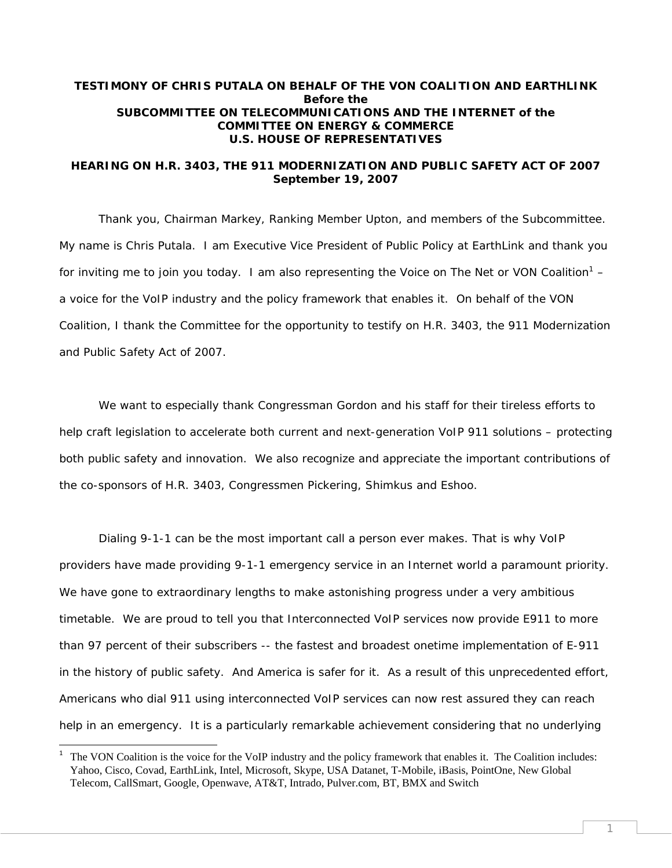# **TESTIMONY OF CHRIS PUTALA ON BEHALF OF THE VON COALITION AND EARTHLINK Before the SUBCOMMITTEE ON TELECOMMUNICATIONS AND THE INTERNET of the COMMITTEE ON ENERGY & COMMERCE U.S. HOUSE OF REPRESENTATIVES**

### **HEARING ON H.R. 3403, THE 911 MODERNIZATION AND PUBLIC SAFETY ACT OF 2007 September 19, 2007**

Thank you, Chairman Markey, Ranking Member Upton, and members of the Subcommittee. My name is Chris Putala. I am Executive Vice President of Public Policy at EarthLink and thank you for inviting me to join you today. I am also representing the Voice on The Net or VON Coalition<sup>1</sup> – a voice for the VoIP industry and the policy framework that enables it. On behalf of the VON Coalition, I thank the Committee for the opportunity to testify on H.R. 3403, the 911 Modernization and Public Safety Act of 2007.

We want to especially thank Congressman Gordon and his staff for their tireless efforts to help craft legislation to accelerate both current and next-generation VoIP 911 solutions – protecting both public safety and innovation. We also recognize and appreciate the important contributions of the co-sponsors of H.R. 3403, Congressmen Pickering, Shimkus and Eshoo.

Dialing 9-1-1 can be the most important call a person ever makes. That is why VoIP providers have made providing 9-1-1 emergency service in an Internet world a paramount priority. We have gone to extraordinary lengths to make astonishing progress under a very ambitious timetable. We are proud to tell you that Interconnected VoIP services now provide E911 to more than 97 percent of their subscribers -- the fastest and broadest onetime implementation of E-911 in the history of public safety. And America is safer for it. As a result of this unprecedented effort, Americans who dial 911 using interconnected VoIP services can now rest assured they can reach help in an emergency. It is a particularly remarkable achievement considering that no underlying

-

<sup>1</sup> The VON Coalition is the voice for the VoIP industry and the policy framework that enables it. The Coalition includes: Yahoo, Cisco, Covad, EarthLink, Intel, Microsoft, Skype, USA Datanet, T-Mobile, iBasis, PointOne, New Global Telecom, CallSmart, Google, Openwave, AT&T, Intrado, Pulver.com, BT, BMX and Switch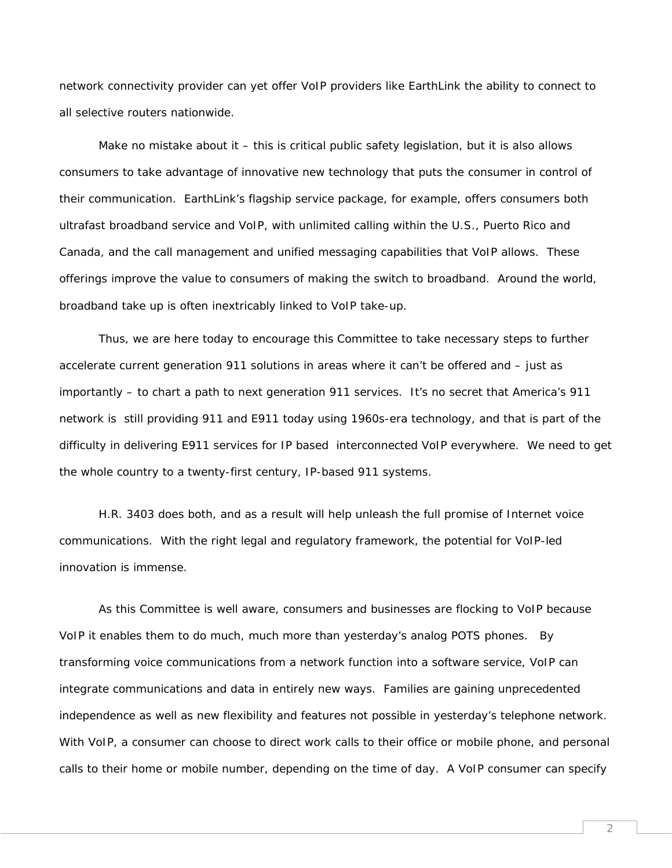network connectivity provider can yet offer VoIP providers like EarthLink the ability to connect to all selective routers nationwide.

Make no mistake about it - this is critical public safety legislation, but it is also allows consumers to take advantage of innovative new technology that puts the consumer in control of their communication. EarthLink's flagship service package, for example, offers consumers both ultrafast broadband service and VoIP, with unlimited calling within the U.S., Puerto Rico and Canada, and the call management and unified messaging capabilities that VoIP allows. These offerings improve the value *to consumers* of making the switch to broadband. Around the world, broadband take up is often inextricably linked to VoIP take-up.

Thus, we are here today to encourage this Committee to take necessary steps to further accelerate current generation 911 solutions in areas where it can't be offered and – just as importantly – to chart a path to next generation 911 services. It's no secret that America's 911 network is still providing 911 and E911 today using 1960s-era technology, and that is part of the difficulty in delivering E911 services for IP based interconnected VoIP everywhere. We need to get the whole country to a twenty-first century, IP-based 911 systems.

H.R. 3403 does both, and as a result will help unleash the full promise of Internet voice communications. With the right legal and regulatory framework, the potential for VoIP-led innovation is immense.

As this Committee is well aware, consumers and businesses are flocking to VoIP because VoIP it enables them to do much, much more than yesterday's analog POTS phones. By transforming voice communications from a network function into a software service, VoIP can integrate communications and data in entirely new ways. Families are gaining unprecedented independence as well as new flexibility and features not possible in yesterday's telephone network. With VoIP, a consumer can choose to direct work calls to their office or mobile phone, and personal calls to their home or mobile number, depending on the time of day. A VoIP consumer can specify

 $\overline{\mathcal{L}}$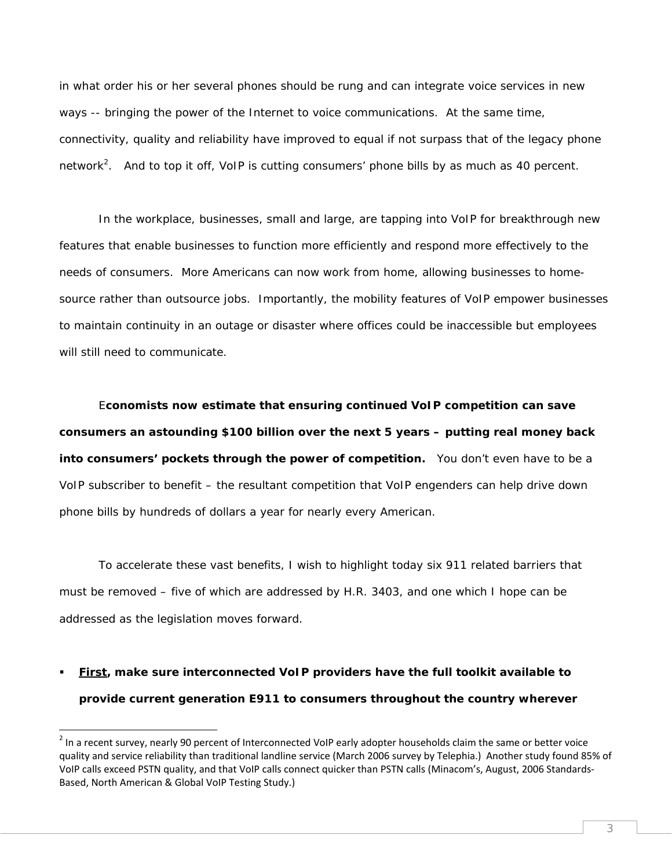in what order his or her several phones should be rung and can integrate voice services in new ways -- bringing the power of the Internet to voice communications. At the same time, connectivity, quality and reliability have improved to equal if not surpass that of the legacy phone network<sup>2</sup>. And to top it off, VoIP is cutting consumers' phone bills by as much as 40 percent.

In the workplace, businesses, small and large, are tapping into VoIP for breakthrough new features that enable businesses to function more efficiently and respond more effectively to the needs of consumers. More Americans can now work from home, allowing businesses to homesource rather than outsource jobs. Importantly, the mobility features of VoIP empower businesses to maintain continuity in an outage or disaster where offices could be inaccessible but employees will still need to communicate.

E**conomists now estimate that ensuring continued VoIP competition can save consumers an astounding \$100 billion over the next 5 years – putting real money back into consumers' pockets through the power of competition.** You don't even have to be a VoIP subscriber to benefit – the resultant competition that VoIP engenders can help drive down phone bills by hundreds of dollars a year for nearly every American.

To accelerate these vast benefits, I wish to highlight today six 911 related barriers that must be removed – five of which are addressed by H.R. 3403, and one which I hope can be addressed as the legislation moves forward.

 **First, make sure interconnected VoIP providers have the full toolkit available to provide current generation E911 to consumers throughout the country wherever** 

-

 $<sup>2</sup>$  In a recent survey, nearly 90 percent of Interconnected VoIP early adopter households claim the same or better voice</sup> quality and service reliability than traditional landline service (March 2006 survey by Telephia.) Another study found 85% of VoIP calls exceed PSTN quality, and that VoIP calls connect quicker than PSTN calls (Minacom's, August, 2006 Standards‐ Based, North American & Global VoIP Testing Study.)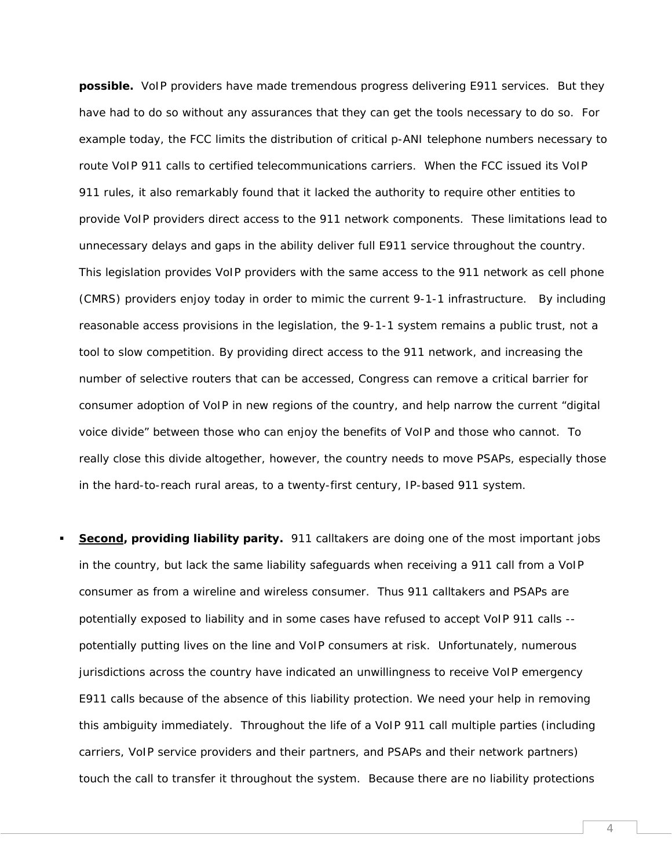**possible.** VoIP providers have made tremendous progress delivering E911 services. But they have had to do so without any assurances that they can get the tools necessary to do so. For example today, the FCC limits the distribution of critical p-ANI telephone numbers necessary to route VoIP 911 calls to certified telecommunications carriers. When the FCC issued its VoIP 911 rules, it also remarkably found that it lacked the authority to require other entities to provide VoIP providers direct access to the 911 network components. These limitations lead to unnecessary delays and gaps in the ability deliver full E911 service throughout the country. This legislation provides VoIP providers with the same access to the 911 network as cell phone (CMRS) providers enjoy today in order to mimic the current 9-1-1 infrastructure. By including reasonable access provisions in the legislation, the 9-1-1 system remains a public trust, not a tool to slow competition. By providing direct access to the 911 network, and increasing the number of selective routers that can be accessed, Congress can remove a critical barrier for consumer adoption of VoIP in new regions of the country, and help narrow the current "digital voice divide" between those who can enjoy the benefits of VoIP and those who cannot. To really close this divide altogether, however, the country needs to move PSAPs, especially those in the hard-to-reach rural areas, to a twenty-first century, IP-based 911 system.

 **Second, providing liability parity.** 911 calltakers are doing one of the most important jobs in the country, but lack the same liability safeguards when receiving a 911 call from a VoIP consumer as from a wireline and wireless consumer. Thus 911 calltakers and PSAPs are potentially exposed to liability and in some cases have refused to accept VoIP 911 calls - potentially putting lives on the line and VoIP consumers at risk. Unfortunately, numerous jurisdictions across the country have indicated an unwillingness to receive VoIP emergency E911 calls because of the absence of this liability protection. We need your help in removing this ambiguity immediately. Throughout the life of a VoIP 911 call multiple parties (including carriers, VoIP service providers and their partners, and PSAPs and their network partners) touch the call to transfer it throughout the system. Because there are no liability protections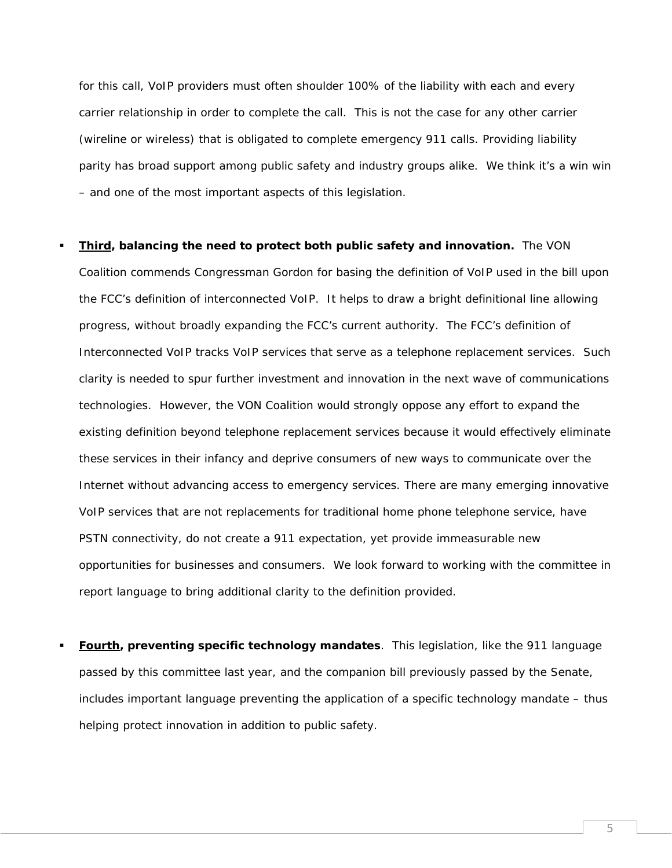for this call, VoIP providers must often shoulder 100% of the liability with each and every carrier relationship in order to complete the call. This is not the case for any other carrier (wireline or wireless) that is obligated to complete emergency 911 calls. Providing liability parity has broad support among public safety and industry groups alike. We think it's a win win – and one of the most important aspects of this legislation.

 **Third, balancing the need to protect both public safety and innovation.** The VON Coalition commends Congressman Gordon for basing the definition of VoIP used in the bill upon the FCC's definition of interconnected VoIP. It helps to draw a bright definitional line allowing progress, without broadly expanding the FCC's current authority. The FCC's definition of Interconnected VoIP tracks VoIP services that serve as a telephone replacement services. Such clarity is needed to spur further investment and innovation in the next wave of communications technologies. However, the VON Coalition would strongly oppose any effort to expand the existing definition beyond telephone replacement services because it would effectively eliminate these services in their infancy and deprive consumers of new ways to communicate over the Internet without advancing access to emergency services. There are many emerging innovative VoIP services that are not replacements for traditional home phone telephone service, have PSTN connectivity, do not create a 911 expectation, yet provide immeasurable new opportunities for businesses and consumers. We look forward to working with the committee in report language to bring additional clarity to the definition provided.

 **Fourth, preventing specific technology mandates**. This legislation, like the 911 language passed by this committee last year, and the companion bill previously passed by the Senate, includes important language preventing the application of a specific technology mandate – thus helping protect innovation in addition to public safety.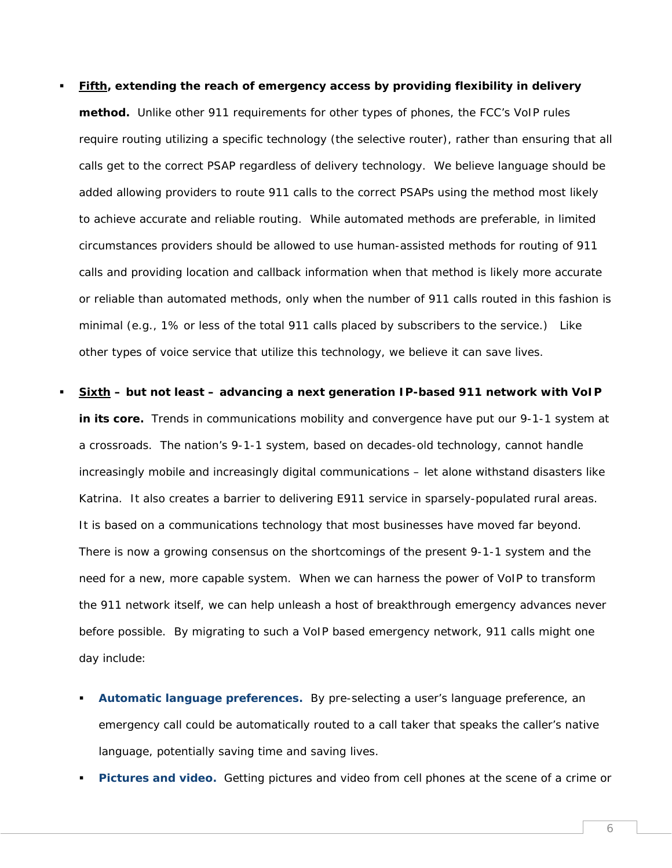#### **Fifth, extending the reach of emergency access by providing flexibility in delivery**

**method.** Unlike other 911 requirements for other types of phones, the FCC's VoIP rules require routing utilizing a specific technology (the selective router), rather than ensuring that all calls get to the correct PSAP regardless of delivery technology. We believe language should be added allowing providers to route 911 calls to the correct PSAPs using the method most likely to achieve accurate and reliable routing. While automated methods are preferable, in limited circumstances providers should be allowed to use human-assisted methods for routing of 911 calls and providing location and callback information when that method is likely more accurate or reliable than automated methods, only when the number of 911 calls routed in this fashion is minimal (e.g., 1% or less of the total 911 calls placed by subscribers to the service.) Like other types of voice service that utilize this technology, we believe it can save lives.

# **Sixth – but not least – advancing a next generation IP-based 911 network with VoIP in its core.** Trends in communications mobility and convergence have put our 9-1-1 system at a crossroads. The nation's 9-1-1 system, based on decades-old technology, cannot handle increasingly mobile and increasingly digital communications – let alone withstand disasters like Katrina. It also creates a barrier to delivering E911 service in sparsely-populated rural areas. It is based on a communications technology that most businesses have moved far beyond. There is now a growing consensus on the shortcomings of the present 9-1-1 system and the need for a new, more capable system. When we can harness the power of VoIP to transform the 911 network itself, we can help unleash a host of breakthrough emergency advances never before possible. By migrating to such a VoIP based emergency network, 911 calls might one day include:

- *Automatic language preferences.* By pre-selecting a user's language preference, an emergency call could be automatically routed to a call taker that speaks the caller's native language, potentially saving time and saving lives.
- *Pictures and video.* Getting pictures and video from cell phones at the scene of a crime or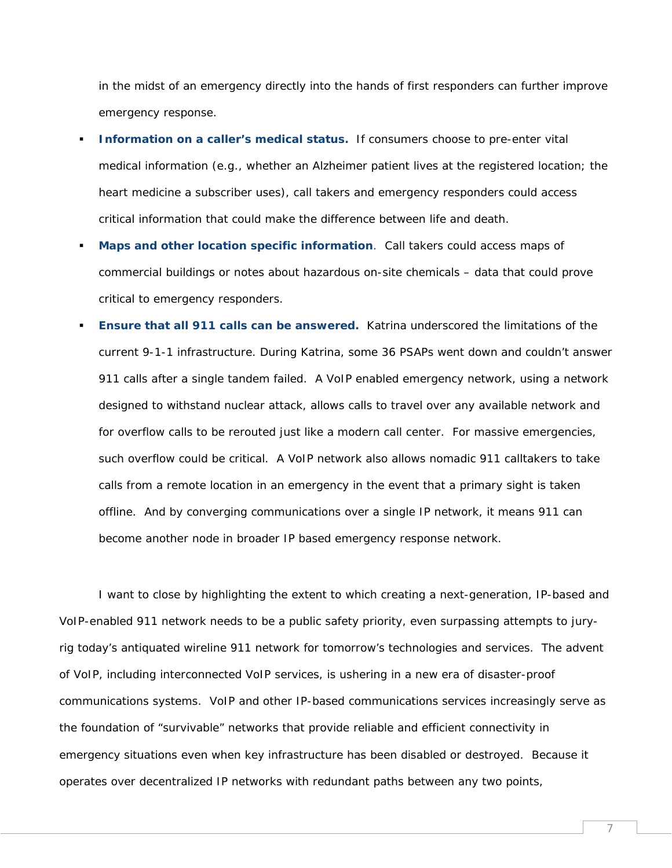in the midst of an emergency directly into the hands of first responders can further improve emergency response.

- *Information on a caller's medical status.* If consumers choose to pre-enter vital medical information (e.g., whether an Alzheimer patient lives at the registered location; the heart medicine a subscriber uses), call takers and emergency responders could access critical information that could make the difference between life and death.
- *Maps and other location specific information*. Call takers could access maps of commercial buildings or notes about hazardous on-site chemicals – data that could prove critical to emergency responders.
- *Ensure that all 911 calls can be answered.* Katrina underscored the limitations of the current 9-1-1 infrastructure. During Katrina, some 36 PSAPs went down and couldn't answer 911 calls after a single tandem failed. A VoIP enabled emergency network, using a network designed to withstand nuclear attack, allows calls to travel over any available network and for overflow calls to be rerouted just like a modern call center. For massive emergencies, such overflow could be critical. A VoIP network also allows nomadic 911 calltakers to take calls from a remote location in an emergency in the event that a primary sight is taken offline. And by converging communications over a single IP network, it means 911 can become another node in broader IP based emergency response network.

I want to close by highlighting the extent to which creating a next-generation, IP-based and VoIP-enabled 911 network needs to be a public safety priority, even surpassing attempts to juryrig today's antiquated wireline 911 network for tomorrow's technologies and services. The advent of VoIP, including interconnected VoIP services, is ushering in a new era of disaster-proof communications systems. VoIP and other IP-based communications services increasingly serve as the foundation of "survivable" networks that provide reliable and efficient connectivity in emergency situations even when key infrastructure has been disabled or destroyed. Because it operates over decentralized IP networks with redundant paths between any two points,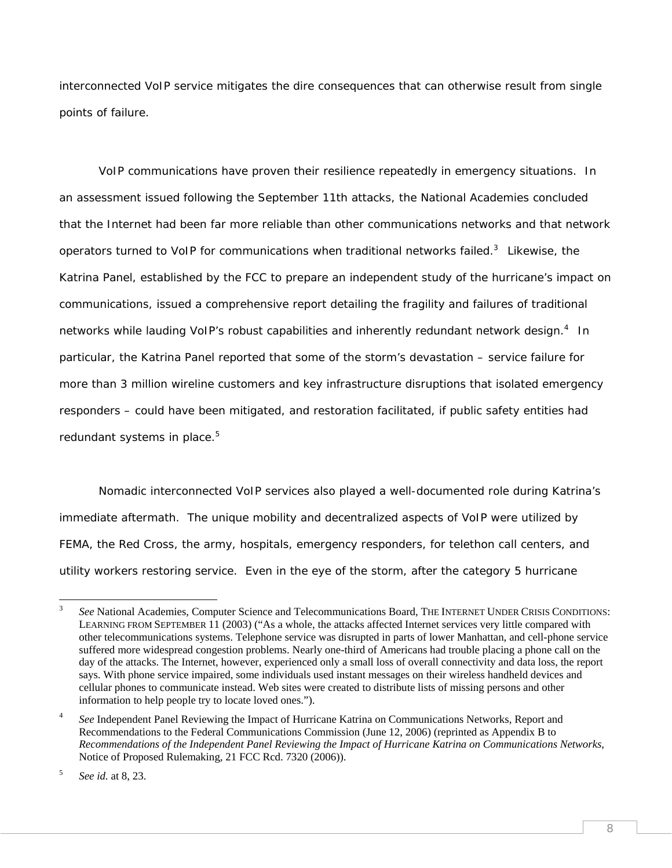interconnected VoIP service mitigates the dire consequences that can otherwise result from single points of failure.

VoIP communications have proven their resilience repeatedly in emergency situations. In an assessment issued following the September 11th attacks, the National Academies concluded that the Internet had been far more reliable than other communications networks and that network operators turned to VoIP for communications when traditional networks failed.<sup>3</sup> Likewise, the Katrina Panel, established by the FCC to prepare an independent study of the hurricane's impact on communications, issued a comprehensive report detailing the fragility and failures of traditional networks while lauding VoIP's robust capabilities and inherently redundant network design.<sup>4</sup> In particular, the Katrina Panel reported that some of the storm's devastation – service failure for more than 3 million wireline customers and key infrastructure disruptions that isolated emergency responders – could have been mitigated, and restoration facilitated, if public safety entities had redundant systems in place.<sup>5</sup>

Nomadic interconnected VoIP services also played a well-documented role during Katrina's immediate aftermath. The unique mobility and decentralized aspects of VoIP were utilized by FEMA, the Red Cross, the army, hospitals, emergency responders, for telethon call centers, and utility workers restoring service. Even in the eye of the storm, after the category 5 hurricane

 $\frac{1}{3}$  *See* National Academies, Computer Science and Telecommunications Board, THE INTERNET UNDER CRISIS CONDITIONS: LEARNING FROM SEPTEMBER 11 (2003) ("As a whole, the attacks affected Internet services very little compared with other telecommunications systems. Telephone service was disrupted in parts of lower Manhattan, and cell-phone service suffered more widespread congestion problems. Nearly one-third of Americans had trouble placing a phone call on the day of the attacks. The Internet, however, experienced only a small loss of overall connectivity and data loss, the report says. With phone service impaired, some individuals used instant messages on their wireless handheld devices and cellular phones to communicate instead. Web sites were created to distribute lists of missing persons and other information to help people try to locate loved ones.").

<sup>4</sup> *See* Independent Panel Reviewing the Impact of Hurricane Katrina on Communications Networks, Report and Recommendations to the Federal Communications Commission (June 12, 2006) (reprinted as Appendix B to *Recommendations of the Independent Panel Reviewing the Impact of Hurricane Katrina on Communications Networks*, Notice of Proposed Rulemaking, 21 FCC Rcd. 7320 (2006)).

<sup>5</sup> *See id.* at 8, 23.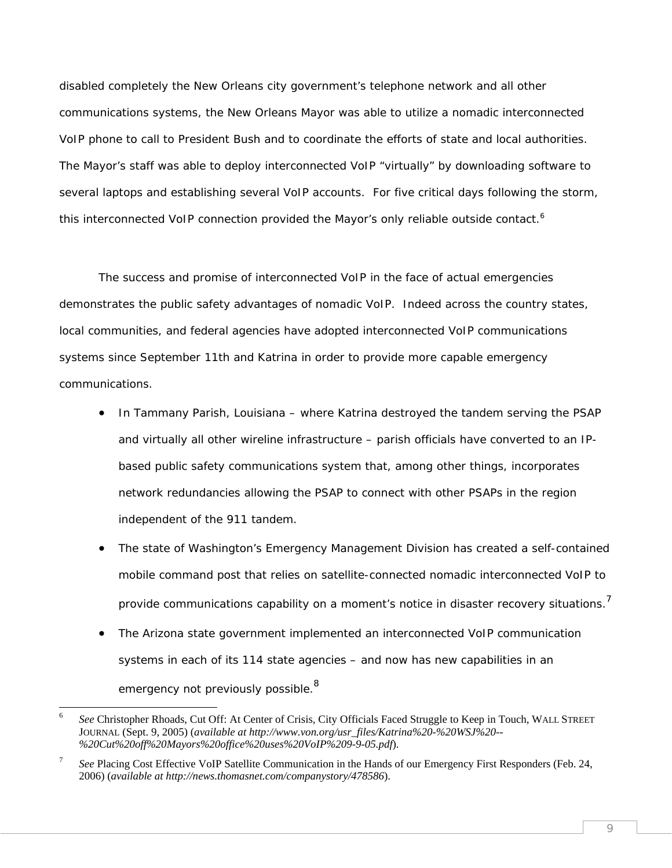disabled completely the New Orleans city government's telephone network and all other communications systems, the New Orleans Mayor was able to utilize a nomadic interconnected VoIP phone to call to President Bush and to coordinate the efforts of state and local authorities. The Mayor's staff was able to deploy interconnected VoIP "virtually" by downloading software to several laptops and establishing several VoIP accounts. For five critical days following the storm, this interconnected VoIP connection provided the Mayor's only reliable outside contact.<sup>6</sup>

The success and promise of interconnected VoIP in the face of actual emergencies demonstrates the public safety advantages of nomadic VoIP. Indeed across the country states, local communities, and federal agencies have adopted interconnected VoIP communications systems since September 11th and Katrina in order to provide more capable emergency communications.

- In Tammany Parish, Louisiana where Katrina destroyed the tandem serving the PSAP and virtually all other wireline infrastructure – parish officials have converted to an IPbased public safety communications system that, among other things, incorporates network redundancies allowing the PSAP to connect with other PSAPs in the region independent of the 911 tandem.
- The state of Washington's Emergency Management Division has created a self-contained mobile command post that relies on satellite-connected nomadic interconnected VoIP to provide communications capability on a moment's notice in disaster recovery situations.<sup>7</sup>
- The Arizona state government implemented an interconnected VoIP communication systems in each of its 114 state agencies – and now has new capabilities in an emergency not previously possible. $^8$

1

9

<sup>6</sup> *See* Christopher Rhoads, Cut Off: At Center of Crisis, City Officials Faced Struggle to Keep in Touch, WALL STREET JOURNAL (Sept. 9, 2005) (*available at http://www.von.org/usr\_files/Katrina%20-%20WSJ%20-- %20Cut%20off%20Mayors%20office%20uses%20VoIP%209-9-05.pdf*).

<sup>7</sup> *See* Placing Cost Effective VoIP Satellite Communication in the Hands of our Emergency First Responders (Feb. 24, 2006) (*available at http://news.thomasnet.com/companystory/478586*).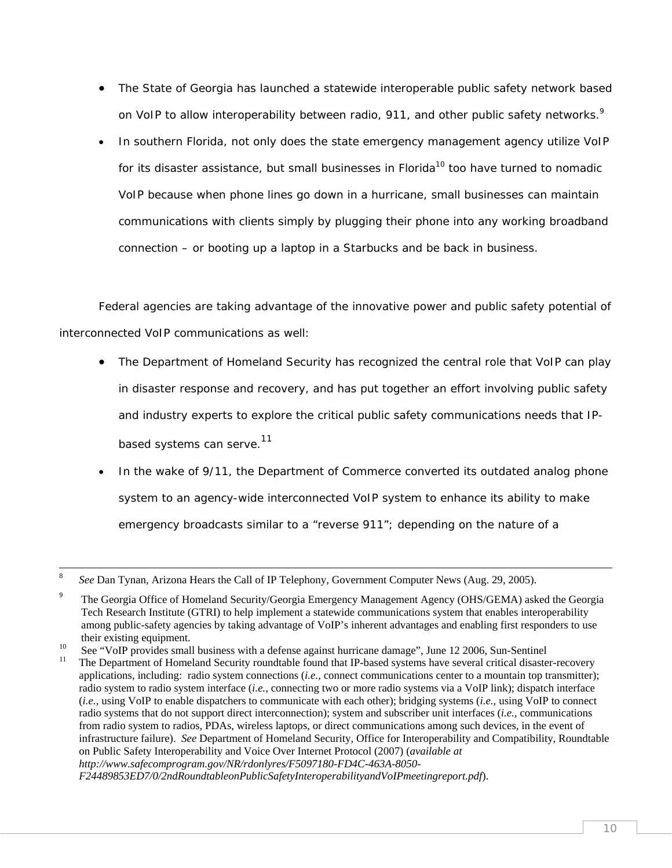- The State of Georgia has launched a statewide interoperable public safety network based on VoIP to allow interoperability between radio, 911, and other public safety networks.<sup>9</sup>
- In southern Florida, not only does the state emergency management agency utilize VoIP for its disaster assistance, but small businesses in Florida<sup>10</sup> too have turned to nomadic VoIP because when phone lines go down in a hurricane, small businesses can maintain communications with clients simply by plugging their phone into any working broadband connection – or booting up a laptop in a Starbucks and be back in business.

Federal agencies are taking advantage of the innovative power and public safety potential of interconnected VoIP communications as well:

- The Department of Homeland Security has recognized the central role that VoIP can play in disaster response and recovery, and has put together an effort involving public safety and industry experts to explore the critical public safety communications needs that IPbased systems can serve.<sup>11</sup>
- In the wake of 9/11, the Department of Commerce converted its outdated analog phone system to an agency-wide interconnected VoIP system to enhance its ability to make emergency broadcasts similar to a "reverse 911"; depending on the nature of a

8 *See* Dan Tynan, Arizona Hears the Call of IP Telephony, Government Computer News (Aug. 29, 2005).

<sup>9</sup> The Georgia Office of Homeland Security/Georgia Emergency Management Agency (OHS/GEMA) asked the Georgia Tech Research Institute (GTRI) to help implement a statewide communications system that enables interoperability among public-safety agencies by taking advantage of VoIP's inherent advantages and enabling first responders to use

their existing equipment.<br>
<sup>10</sup> See "VoIP provides small business with a defense against hurricane damage", June 12 2006, Sun-Sentinel<br>
<sup>11</sup> The Department of Hamaland Sequity goundtable found that IP based autama have equ

<sup>11</sup> The Department of Homeland Security roundtable found that IP-based systems have several critical disaster-recovery applications, including: radio system connections (*i.e.,* connect communications center to a mountain top transmitter); radio system to radio system interface (*i.e.,* connecting two or more radio systems via a VoIP link); dispatch interface (*i.e.*, using VoIP to enable dispatchers to communicate with each other); bridging systems (*i.e.,* using VoIP to connect radio systems that do not support direct interconnection); system and subscriber unit interfaces (*i.e.,* communications from radio system to radios, PDAs, wireless laptops, or direct communications among such devices, in the event of infrastructure failure). *See* Department of Homeland Security, Office for Interoperability and Compatibility, Roundtable on Public Safety Interoperability and Voice Over Internet Protocol (2007) (*available at http://www.safecomprogram.gov/NR/rdonlyres/F5097180-FD4C-463A-8050-*

*F24489853ED7/0/2ndRoundtableonPublicSafetyInteroperabilityandVoIPmeetingreport.pdf*).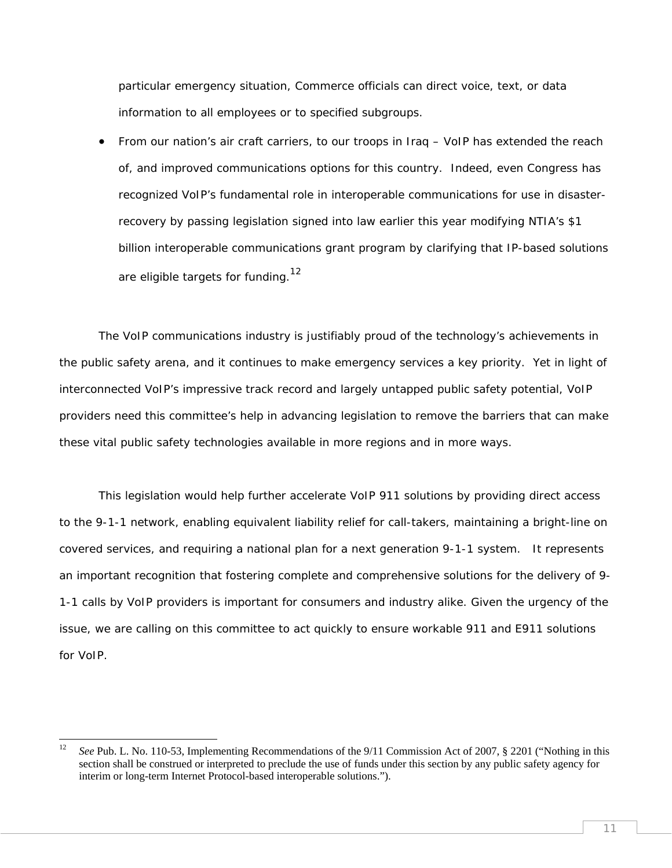particular emergency situation, Commerce officials can direct voice, text, or data information to all employees or to specified subgroups.

• From our nation's air craft carriers, to our troops in Iraq – VoIP has extended the reach of, and improved communications options for this country. Indeed, even Congress has recognized VoIP's fundamental role in interoperable communications for use in disasterrecovery by passing legislation signed into law earlier this year modifying NTIA's \$1 billion interoperable communications grant program by clarifying that IP-based solutions are eligible targets for funding.<sup>12</sup>

The VoIP communications industry is justifiably proud of the technology's achievements in the public safety arena, and it continues to make emergency services a key priority. Yet in light of interconnected VoIP's impressive track record and largely untapped public safety potential, VoIP providers need this committee's help in advancing legislation to remove the barriers that can make these vital public safety technologies available in more regions and in more ways.

This legislation would help further accelerate VoIP 911 solutions by providing direct access to the 9-1-1 network, enabling equivalent liability relief for call-takers, maintaining a bright-line on covered services, and requiring a national plan for a next generation 9-1-1 system. It represents an important recognition that fostering complete and comprehensive solutions for the delivery of 9- 1-1 calls by VoIP providers is important for consumers and industry alike. Given the urgency of the issue, we are calling on this committee to act quickly to ensure workable 911 and E911 solutions for VoIP.

<sup>12</sup> 12 *See* Pub. L. No. 110-53, Implementing Recommendations of the 9/11 Commission Act of 2007, § 2201 ("Nothing in this section shall be construed or interpreted to preclude the use of funds under this section by any public safety agency for interim or long-term Internet Protocol-based interoperable solutions.").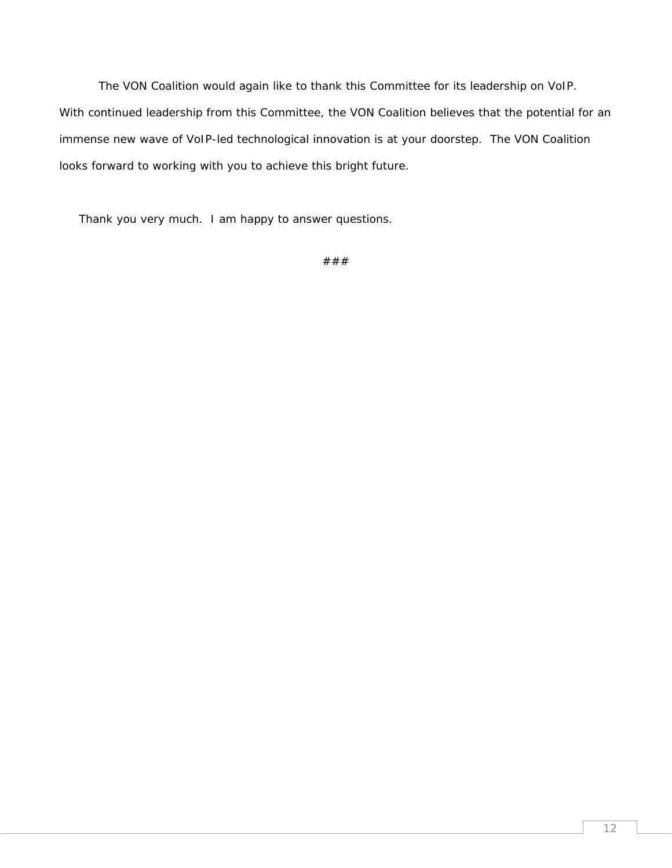The VON Coalition would again like to thank this Committee for its leadership on VoIP. With continued leadership from this Committee, the VON Coalition believes that the potential for an immense new wave of VoIP-led technological innovation is at your doorstep. The VON Coalition looks forward to working with you to achieve this bright future.

Thank you very much. I am happy to answer questions.

$$
# \# \#
$$